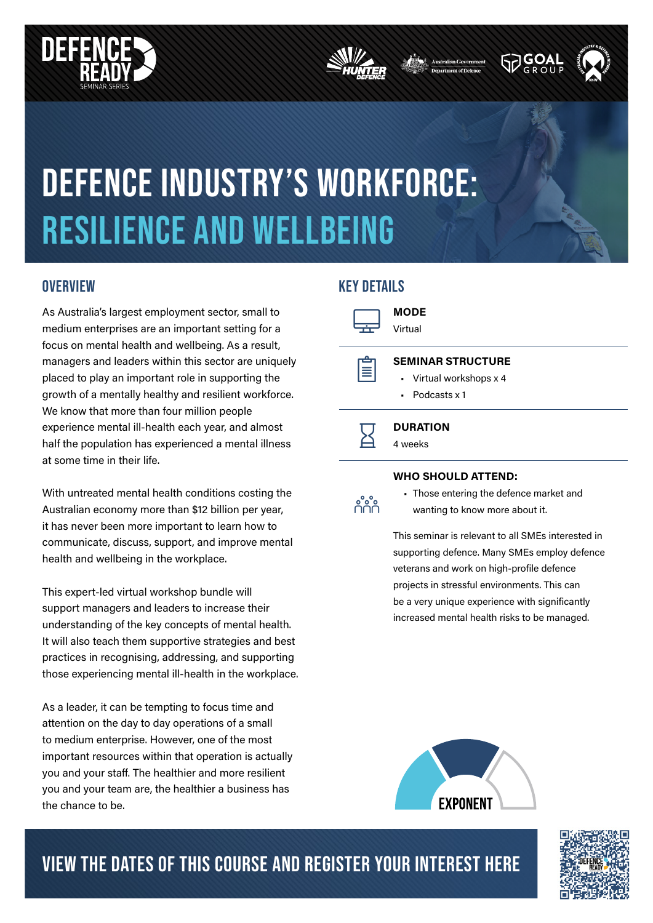





# DEFENCE industry's workforce: resilience and wellbeing

As Australia's largest employment sector, small to medium enterprises are an important setting for a focus on mental health and wellbeing. As a result, managers and leaders within this sector are uniquely placed to play an important role in supporting the growth of a mentally healthy and resilient workforce. We know that more than four million people experience mental ill-health each year, and almost half the population has experienced a mental illness at some time in their life.

With untreated mental health conditions costing the Australian economy more than \$12 billion per year, it has never been more important to learn how to communicate, discuss, support, and improve mental health and wellbeing in the workplace.

This expert-led virtual workshop bundle will support managers and leaders to increase their understanding of the key concepts of mental health. It will also teach them supportive strategies and best practices in recognising, addressing, and supporting those experiencing mental ill-health in the workplace.

As a leader, it can be tempting to focus time and attention on the day to day operations of a small to medium enterprise. However, one of the most important resources within that operation is actually you and your staff. The healthier and more resilient you and your team are, the healthier a business has the chance to be.

## OVERVIEW NETAILS

 $\equiv$ 

 $\Box$ MODE Virtual

### SEMINAR STRUCTURE

- Virtual workshops x 4
- Podcasts x 1

 $\overline{\mathbf{Z}}$ **DURATION** 4 weeks

### WHO SHOULD ATTEND:



• Those entering the defence market and wanting to know more about it.

This seminar is relevant to all SMEs interested in supporting defence. Many SMEs employ defence veterans and work on high-profile defence projects in stressful environments. This can be a very unique experience with significantly increased mental health risks to be managed.



# VIEW THE DATES OF THIS COURSE AND REGISTER YOUR INTEREST HERE

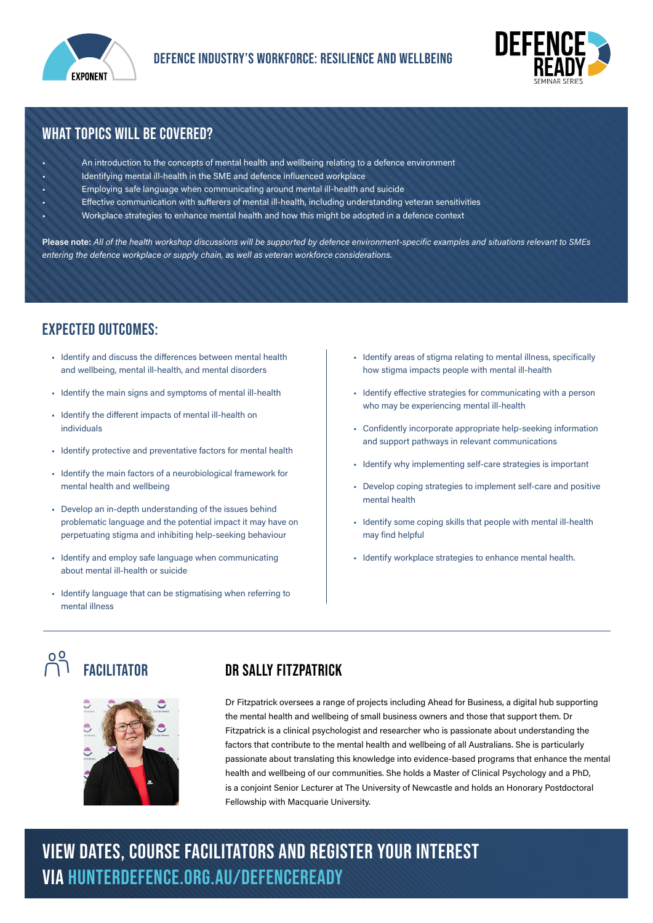



# WHAT TOPICS WILL BE COVERED?

- An introduction to the concepts of mental health and wellbeing relating to a defence environment
- Identifying mental ill-health in the SME and defence influenced workplace
- Employing safe language when communicating around mental ill-health and suicide
- Effective communication with sufferers of mental ill-health, including understanding veteran sensitivities
- Workplace strategies to enhance mental health and how this might be adopted in a defence context

Please note: All of the health workshop discussions will be supported by defence environment-specific examples and situations relevant to SMEs entering the defence workplace or supply chain, as well as veteran workforce considerations.

# expected outcomes:

- Identify and discuss the differences between mental health and wellbeing, mental ill-health, and mental disorders
- Identify the main signs and symptoms of mental ill-health
- Identify the different impacts of mental ill-health on individuals
- Identify protective and preventative factors for mental health
- Identify the main factors of a neurobiological framework for mental health and wellbeing
- Develop an in-depth understanding of the issues behind problematic language and the potential impact it may have on perpetuating stigma and inhibiting help-seeking behaviour
- Identify and employ safe language when communicating about mental ill-health or suicide
- Identify language that can be stigmatising when referring to mental illness
- Identify areas of stigma relating to mental illness, specifically how stigma impacts people with mental ill-health
- Identify effective strategies for communicating with a person who may be experiencing mental ill-health
- Confidently incorporate appropriate help-seeking information and support pathways in relevant communications
- Identify why implementing self-care strategies is important
- Develop coping strategies to implement self-care and positive mental health
- Identify some coping skills that people with mental ill-health may find helpful
- Identify workplace strategies to enhance mental health.

# OO FACILITATOR DR SALLY FITZPATRICK



Dr Fitzpatrick oversees a range of projects including Ahead for Business, a digital hub supporting the mental health and wellbeing of small business owners and those that support them. Dr Fitzpatrick is a clinical psychologist and researcher who is passionate about understanding the factors that contribute to the mental health and wellbeing of all Australians. She is particularly passionate about translating this knowledge into evidence-based programs that enhance the mental health and wellbeing of our communities. She holds a Master of Clinical Psychology and a PhD, is a conjoint Senior Lecturer at The University of Newcastle and holds an Honorary Postdoctoral Fellowship with Macquarie University.

# VIEW DATES, course facilitators and REGISTER YOUR INTEREST via hunterdefence.org.au/defenceready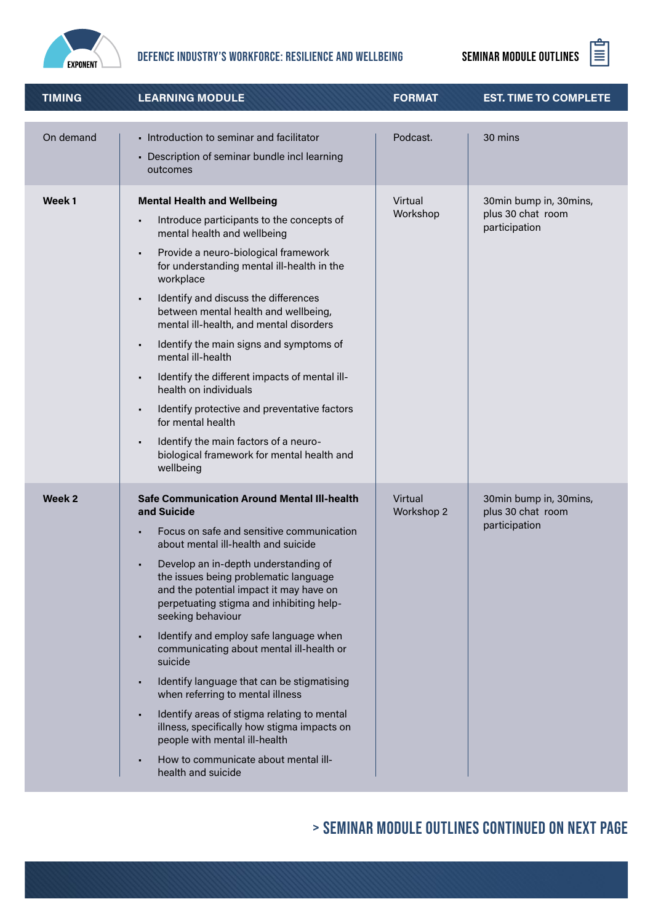

# DEFENCE INDUSTRY'S WORKFORCE: RESILIENCE AND WELLBEING SEMINAR MODULE OUTLINES  $\Xi$



| <b>TIMING</b>     | <b>LEARNING MODULE</b>                                                                                                                                                                                                                                                                                                                                                                                                                                                                                                                                                                                                                                                                                                             | <b>FORMAT</b>         | <b>EST. TIME TO COMPLETE</b>                                 |
|-------------------|------------------------------------------------------------------------------------------------------------------------------------------------------------------------------------------------------------------------------------------------------------------------------------------------------------------------------------------------------------------------------------------------------------------------------------------------------------------------------------------------------------------------------------------------------------------------------------------------------------------------------------------------------------------------------------------------------------------------------------|-----------------------|--------------------------------------------------------------|
| On demand         | - Introduction to seminar and facilitator<br>• Description of seminar bundle incl learning<br>outcomes                                                                                                                                                                                                                                                                                                                                                                                                                                                                                                                                                                                                                             | Podcast.              | 30 mins                                                      |
| Week <sub>1</sub> | <b>Mental Health and Wellbeing</b><br>Introduce participants to the concepts of<br>mental health and wellbeing<br>Provide a neuro-biological framework<br>for understanding mental ill-health in the<br>workplace<br>Identify and discuss the differences<br>$\blacksquare$<br>between mental health and wellbeing,<br>mental ill-health, and mental disorders<br>Identify the main signs and symptoms of<br>$\blacksquare$<br>mental ill-health<br>Identify the different impacts of mental ill-<br>$\blacksquare$<br>health on individuals<br>Identify protective and preventative factors<br>for mental health<br>Identify the main factors of a neuro-<br>biological framework for mental health and<br>wellbeing              | Virtual<br>Workshop   | 30min bump in, 30mins,<br>plus 30 chat room<br>participation |
| Week 2            | <b>Safe Communication Around Mental III-health</b><br>and Suicide<br>Focus on safe and sensitive communication<br>about mental ill-health and suicide<br>Develop an in-depth understanding of<br>the issues being problematic language<br>and the potential impact it may have on<br>perpetuating stigma and inhibiting help-<br>seeking behaviour<br>Identify and employ safe language when<br>communicating about mental ill-health or<br>suicide<br>Identify language that can be stigmatising<br>when referring to mental illness<br>Identify areas of stigma relating to mental<br>illness, specifically how stigma impacts on<br>people with mental ill-health<br>How to communicate about mental ill-<br>health and suicide | Virtual<br>Workshop 2 | 30min bump in, 30mins,<br>plus 30 chat room<br>participation |

# > seminar module outlines continued on next page